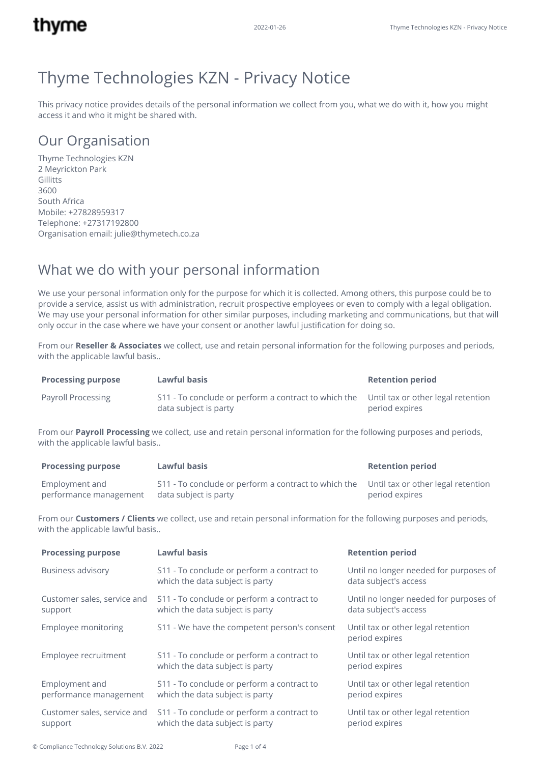# thyme

## Thyme Technologies KZN - Privacy Notice

This privacy notice provides details of the personal information we collect from you, what we do with it, how you might access it and who it might be shared with.

### Our Organisation

Thyme Technologies KZN 2 Meyrickton Park **Gillitts** 3600 South Africa Mobile: +27828959317 Telephone: +27317192800 Organisation email: julie@thymetech.co.za

## What we do with your personal information

We use your personal information only for the purpose for which it is collected. Among others, this purpose could be to provide a service, assist us with administration, recruit prospective employees or even to comply with a legal obligation. We may use your personal information for other similar purposes, including marketing and communications, but that will only occur in the case where we have your consent or another lawful justification for doing so.

From our **Reseller & Associates** we collect, use and retain personal information for the following purposes and periods, with the applicable lawful basis..

| <b>Processing purpose</b> | Lawful basis                                                                  | <b>Retention period</b>                              |
|---------------------------|-------------------------------------------------------------------------------|------------------------------------------------------|
| <b>Payroll Processing</b> | S11 - To conclude or perform a contract to which the<br>data subject is party | Until tax or other legal retention<br>period expires |

From our **Payroll Processing** we collect, use and retain personal information for the following purposes and periods, with the applicable lawful basis..

| <b>Processing purpose</b>                | Lawful basis                                                                                                     | <b>Retention period</b> |
|------------------------------------------|------------------------------------------------------------------------------------------------------------------|-------------------------|
| Employment and<br>performance management | S11 - To conclude or perform a contract to which the Until tax or other legal retention<br>data subject is party | period expires          |

From our **Customers / Clients** we collect, use and retain personal information for the following purposes and periods, with the applicable lawful basis..

| <b>Processing purpose</b>                | <b>Lawful basis</b>                                                           | <b>Retention period</b>                                         |
|------------------------------------------|-------------------------------------------------------------------------------|-----------------------------------------------------------------|
| <b>Business advisory</b>                 | S11 - To conclude or perform a contract to<br>which the data subject is party | Until no longer needed for purposes of<br>data subject's access |
| Customer sales, service and<br>support   | S11 - To conclude or perform a contract to<br>which the data subject is party | Until no longer needed for purposes of<br>data subject's access |
| Employee monitoring                      | S11 - We have the competent person's consent                                  | Until tax or other legal retention<br>period expires            |
| Employee recruitment                     | S11 - To conclude or perform a contract to<br>which the data subject is party | Until tax or other legal retention<br>period expires            |
| Employment and<br>performance management | S11 - To conclude or perform a contract to<br>which the data subject is party | Until tax or other legal retention<br>period expires            |
| Customer sales, service and<br>support   | S11 - To conclude or perform a contract to<br>which the data subject is party | Until tax or other legal retention<br>period expires            |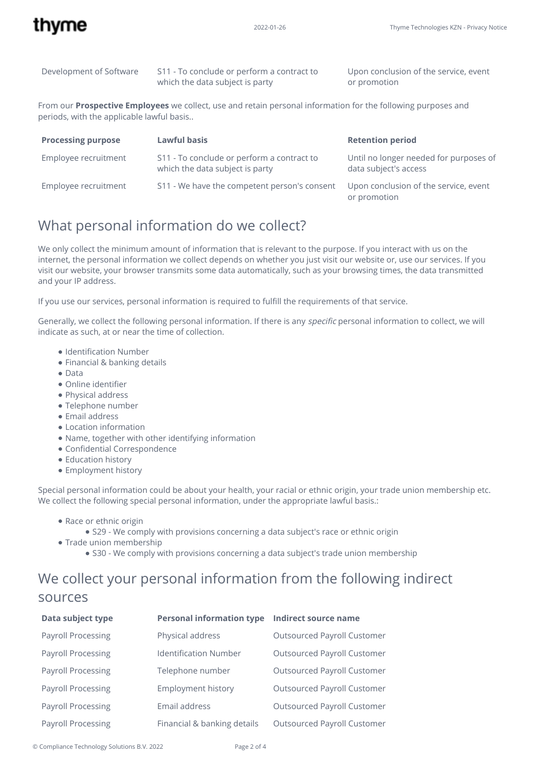| Development of Software | S11 - To conclude or perform a contract to | Upon conclusion of the service, event |
|-------------------------|--------------------------------------------|---------------------------------------|
|                         | which the data subject is party            | or promotion                          |

From our **Prospective Employees** we collect, use and retain personal information for the following purposes and periods, with the applicable lawful basis..

| <b>Processing purpose</b> | <b>Lawful basis</b>                                                           | <b>Retention period</b>                                         |
|---------------------------|-------------------------------------------------------------------------------|-----------------------------------------------------------------|
| Employee recruitment      | S11 - To conclude or perform a contract to<br>which the data subject is party | Until no longer needed for purposes of<br>data subject's access |
| Employee recruitment      | S11 - We have the competent person's consent                                  | Upon conclusion of the service, event<br>or promotion           |

## What personal information do we collect?

We only collect the minimum amount of information that is relevant to the purpose. If you interact with us on the internet, the personal information we collect depends on whether you just visit our website or, use our services. If you visit our website, your browser transmits some data automatically, such as your browsing times, the data transmitted and your IP address.

If you use our services, personal information is required to fulfill the requirements of that service.

Generally, we collect the following personal information. If there is any specific personal information to collect, we will indicate as such, at or near the time of collection.

- Identification Number
- Financial & banking details
- Data
- Online identifier
- Physical address
- Telephone number
- Email address
- Location information
- Name, together with other identifying information
- Confidential Correspondence
- Education history
- Employment history

Special personal information could be about your health, your racial or ethnic origin, your trade union membership etc. We collect the following special personal information, under the appropriate lawful basis.:

- Race or ethnic origin
	- S29 We comply with provisions concerning a data subject's race or ethnic origin
- Trade union membership
	- S30 We comply with provisions concerning a data subject's trade union membership

## We collect your personal information from the following indirect sources

| Data subject type         | <b>Personal information type</b> | <b>Indirect source name</b>        |
|---------------------------|----------------------------------|------------------------------------|
| <b>Payroll Processing</b> | Physical address                 | <b>Outsourced Payroll Customer</b> |
| <b>Payroll Processing</b> | <b>Identification Number</b>     | <b>Outsourced Payroll Customer</b> |
| <b>Payroll Processing</b> | Telephone number                 | <b>Outsourced Payroll Customer</b> |
| <b>Payroll Processing</b> | <b>Employment history</b>        | <b>Outsourced Payroll Customer</b> |
| <b>Payroll Processing</b> | Email address                    | <b>Outsourced Payroll Customer</b> |
| <b>Payroll Processing</b> | Financial & banking details      | Outsourced Payroll Customer        |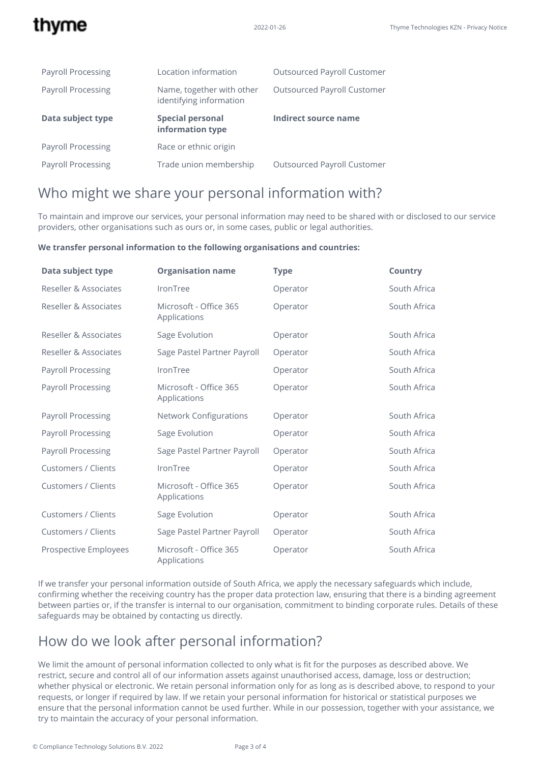## thyme

| Payroll Processing        | Location information                                 | <b>Outsourced Payroll Customer</b> |
|---------------------------|------------------------------------------------------|------------------------------------|
| <b>Payroll Processing</b> | Name, together with other<br>identifying information | <b>Outsourced Payroll Customer</b> |
| Data subject type         | <b>Special personal</b>                              | Indirect source name               |
|                           | information type                                     |                                    |
| <b>Payroll Processing</b> | Race or ethnic origin                                |                                    |

## Who might we share your personal information with?

To maintain and improve our services, your personal information may need to be shared with or disclosed to our service providers, other organisations such as ours or, in some cases, public or legal authorities.

#### **We transfer personal information to the following organisations and countries:**

| Data subject type          | <b>Organisation name</b>               | <b>Type</b> | <b>Country</b> |
|----------------------------|----------------------------------------|-------------|----------------|
| Reseller & Associates      | IronTree                               | Operator    | South Africa   |
| Reseller & Associates      | Microsoft - Office 365<br>Applications | Operator    | South Africa   |
| Reseller & Associates      | Sage Evolution                         | Operator    | South Africa   |
| Reseller & Associates      | Sage Pastel Partner Payroll            | Operator    | South Africa   |
| Payroll Processing         | IronTree                               | Operator    | South Africa   |
| Payroll Processing         | Microsoft - Office 365<br>Applications | Operator    | South Africa   |
| Payroll Processing         | <b>Network Configurations</b>          | Operator    | South Africa   |
| Payroll Processing         | Sage Evolution                         | Operator    | South Africa   |
| Payroll Processing         | Sage Pastel Partner Payroll            | Operator    | South Africa   |
| <b>Customers / Clients</b> | IronTree                               | Operator    | South Africa   |
| <b>Customers / Clients</b> | Microsoft - Office 365<br>Applications | Operator    | South Africa   |
| <b>Customers / Clients</b> | Sage Evolution                         | Operator    | South Africa   |
| <b>Customers / Clients</b> | Sage Pastel Partner Payroll            | Operator    | South Africa   |
| Prospective Employees      | Microsoft - Office 365<br>Applications | Operator    | South Africa   |

If we transfer your personal information outside of South Africa, we apply the necessary safeguards which include, confirming whether the receiving country has the proper data protection law, ensuring that there is a binding agreement between parties or, if the transfer is internal to our organisation, commitment to binding corporate rules. Details of these safeguards may be obtained by contacting us directly.

### How do we look after personal information?

We limit the amount of personal information collected to only what is fit for the purposes as described above. We restrict, secure and control all of our information assets against unauthorised access, damage, loss or destruction; whether physical or electronic. We retain personal information only for as long as is described above, to respond to your requests, or longer if required by law. If we retain your personal information for historical or statistical purposes we ensure that the personal information cannot be used further. While in our possession, together with your assistance, we try to maintain the accuracy of your personal information.